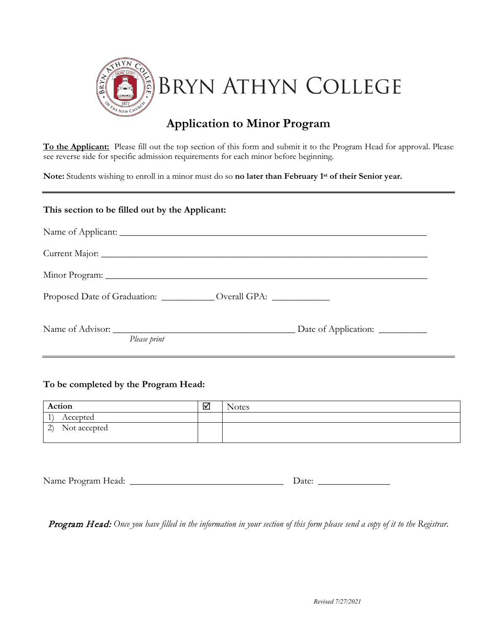

## **Application to Minor Program**

**To the Applicant:** Please fill out the top section of this form and submit it to the Program Head for approval. Please see reverse side for specific admission requirements for each minor before beginning.

**Note:** Students wishing to enroll in a minor must do so **no later than February 1st of their Senior year.**

## **This section to be filled out by the Applicant:**

| Proposed Date of Graduation: ______________ Overall GPA: ____________ |
|-----------------------------------------------------------------------|
|                                                                       |
|                                                                       |

## **To be completed by the Program Head:**

| Action              | M | <b>Notes</b> |
|---------------------|---|--------------|
| Accepted            |   |              |
| (2)<br>Not accepted |   |              |

| Name Program Head: | zale. |
|--------------------|-------|
|--------------------|-------|

Program Head: *Once you have filled in the information in your section of this form please send a copy of it to the Registrar.*